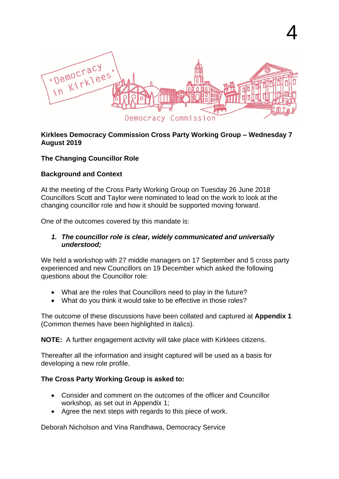

4

#### **Kirklees Democracy Commission Cross Party Working Group – Wednesday 7 August 2019**

### **The Changing Councillor Role**

### **Background and Context**

At the meeting of the Cross Party Working Group on Tuesday 26 June 2018 Councillors Scott and Taylor were nominated to lead on the work to look at the changing councillor role and how it should be supported moving forward.

One of the outcomes covered by this mandate is:

#### *1. The councillor role is clear, widely communicated and universally understood;*

We held a workshop with 27 middle managers on 17 September and 5 cross party experienced and new Councillors on 19 December which asked the following questions about the Councillor role:

- What are the roles that Councillors need to play in the future?
- What do you think it would take to be effective in those roles?

The outcome of these discussions have been collated and captured at **Appendix 1** (Common themes have been highlighted in italics).

**NOTE:** A further engagement activity will take place with Kirklees citizens.

Thereafter all the information and insight captured will be used as a basis for developing a new role profile.

### **The Cross Party Working Group is asked to:**

- Consider and comment on the outcomes of the officer and Councillor workshop, as set out in Appendix 1;
- Agree the next steps with regards to this piece of work.

Deborah Nicholson and Vina Randhawa, Democracy Service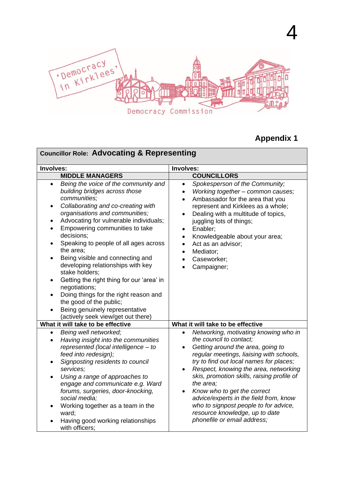

# **Appendix 1**

4

| <b>Councillor Role: Advocating &amp; Representing</b>                                                                                                                                                                                                                                                                                                                                                                                                                                                                                                                                                                                                                                                                           |                                                                                                                                                                                                                                                                                                                                                                                                                                                                                                                                         |  |
|---------------------------------------------------------------------------------------------------------------------------------------------------------------------------------------------------------------------------------------------------------------------------------------------------------------------------------------------------------------------------------------------------------------------------------------------------------------------------------------------------------------------------------------------------------------------------------------------------------------------------------------------------------------------------------------------------------------------------------|-----------------------------------------------------------------------------------------------------------------------------------------------------------------------------------------------------------------------------------------------------------------------------------------------------------------------------------------------------------------------------------------------------------------------------------------------------------------------------------------------------------------------------------------|--|
| Involves:                                                                                                                                                                                                                                                                                                                                                                                                                                                                                                                                                                                                                                                                                                                       | Involves:                                                                                                                                                                                                                                                                                                                                                                                                                                                                                                                               |  |
| <b>MIDDLE MANAGERS</b>                                                                                                                                                                                                                                                                                                                                                                                                                                                                                                                                                                                                                                                                                                          | <b>COUNCILLORS</b>                                                                                                                                                                                                                                                                                                                                                                                                                                                                                                                      |  |
| Being the voice of the community and<br>$\bullet$<br>building bridges across those<br>communities;<br>Collaborating and co-creating with<br>$\bullet$<br>organisations and communities;<br>Advocating for vulnerable individuals;<br>٠<br>Empowering communities to take<br>$\bullet$<br>decisions;<br>Speaking to people of all ages across<br>$\bullet$<br>the area;<br>Being visible and connecting and<br>$\bullet$<br>developing relationships with key<br>stake holders;<br>Getting the right thing for our 'area' in<br>$\bullet$<br>negotiations;<br>Doing things for the right reason and<br>$\bullet$<br>the good of the public;<br>Being genuinely representative<br>$\bullet$<br>(actively seek view/get out there) | Spokesperson of the Community;<br>$\bullet$<br>Working together - common causes;<br>$\bullet$<br>Ambassador for the area that you<br>$\bullet$<br>represent and Kirklees as a whole;<br>Dealing with a multitude of topics,<br>$\bullet$<br>juggling lots of things;<br>Enabler;<br>$\bullet$<br>Knowledgeable about your area;<br>$\bullet$<br>Act as an advisor;<br>$\bullet$<br>Mediator;<br>$\bullet$<br>Caseworker;<br>$\bullet$<br>Campaigner;                                                                                    |  |
| What it will take to be effective                                                                                                                                                                                                                                                                                                                                                                                                                                                                                                                                                                                                                                                                                               | What it will take to be effective                                                                                                                                                                                                                                                                                                                                                                                                                                                                                                       |  |
| Being well networked;<br>$\bullet$<br>Having insight into the communities<br>$\bullet$<br>represented (local intelligence - to<br>feed into redesign);<br>Signposting residents to council<br>services;<br>Using a range of approaches to<br>$\bullet$<br>engage and communicate e.g. Ward<br>forums, surgeries, door-knocking,<br>social media;<br>Working together as a team in the<br>ward;<br>Having good working relationships<br>with officers;                                                                                                                                                                                                                                                                           | Networking, motivating knowing who in<br>$\bullet$<br>the council to contact;<br>Getting around the area, going to<br>$\bullet$<br>regular meetings, liaising with schools,<br>try to find out local names for places;<br>Respect, knowing the area, networking<br>$\bullet$<br>skis, promotion skills, raising profile of<br>the area;<br>Know who to get the correct<br>$\bullet$<br>advice/experts in the field from, know<br>who to signpost people to for advice,<br>resource knowledge, up to date<br>phonefile or email address; |  |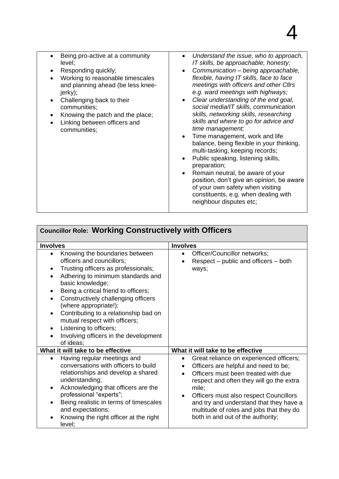| Being pro-active at a community<br>level;<br>Responding quickly;<br>Working to reasonable timescales<br>and planning ahead (be less knee-<br>jerky);<br>Challenging back to their<br>communities;<br>Knowing the patch and the place;<br>Linking between officers and<br>communities; | Understand the issue, who to approach,<br>IT skills, be approachable, honesty;<br>Communication - being approachable,<br>$\bullet$<br>flexible, having IT skills, face to face<br>meetings with officers and other Cllrs<br>e.g. ward meetings with highways;<br>Clear understanding of the end goal,<br>$\bullet$<br>social media/IT skills, communication<br>skills, networking skills, researching<br>skills and where to go for advice and<br>time management;<br>Time management, work and life<br>$\bullet$<br>balance, being flexible in your thinking,<br>multi-tasking, keeping records;<br>Public speaking, listening skills,<br>$\bullet$<br>preparation;<br>Remain neutral, be aware of your<br>$\bullet$<br>position, don't give an opinion, be aware<br>of your own safety when visiting<br>constituents, e.g. when dealing with<br>neighbour disputes etc; |
|---------------------------------------------------------------------------------------------------------------------------------------------------------------------------------------------------------------------------------------------------------------------------------------|---------------------------------------------------------------------------------------------------------------------------------------------------------------------------------------------------------------------------------------------------------------------------------------------------------------------------------------------------------------------------------------------------------------------------------------------------------------------------------------------------------------------------------------------------------------------------------------------------------------------------------------------------------------------------------------------------------------------------------------------------------------------------------------------------------------------------------------------------------------------------|
|                                                                                                                                                                                                                                                                                       |                                                                                                                                                                                                                                                                                                                                                                                                                                                                                                                                                                                                                                                                                                                                                                                                                                                                           |

| <b>Councillor Role: Working Constructively with Officers</b>                                                                                                                                                                                                                                                                                                                                                                                                                                                                          |                                                                                                                                                                                                                                                                                                                                                                                               |
|---------------------------------------------------------------------------------------------------------------------------------------------------------------------------------------------------------------------------------------------------------------------------------------------------------------------------------------------------------------------------------------------------------------------------------------------------------------------------------------------------------------------------------------|-----------------------------------------------------------------------------------------------------------------------------------------------------------------------------------------------------------------------------------------------------------------------------------------------------------------------------------------------------------------------------------------------|
| <b>Involves</b>                                                                                                                                                                                                                                                                                                                                                                                                                                                                                                                       | <b>Involves</b>                                                                                                                                                                                                                                                                                                                                                                               |
| Knowing the boundaries between<br>$\bullet$<br>officers and councillors;<br>Trusting officers as professionals;<br>$\bullet$<br>Adhering to minimum standards and<br>$\bullet$<br>basic knowledge;<br>Being a critical friend to officers;<br>$\bullet$<br>Constructively challenging officers<br>$\bullet$<br>(where appropriate!);<br>Contributing to a relationship bad on<br>$\bullet$<br>mutual respect with officers;<br>Listening to officers;<br>$\bullet$<br>Involving officers in the development<br>$\bullet$<br>of ideas; | Officer/Councillor networks;<br>$\bullet$<br>Respect – public and officers – both<br>ways;                                                                                                                                                                                                                                                                                                    |
| What it will take to be effective                                                                                                                                                                                                                                                                                                                                                                                                                                                                                                     | What it will take to be effective                                                                                                                                                                                                                                                                                                                                                             |
| Having regular meetings and<br>$\bullet$<br>conversations with officers to build<br>relationships and develop a shared<br>understanding;<br>Acknowledging that officers are the<br>$\bullet$<br>professional "experts";<br>Being realistic in terms of timescales<br>and expectations;<br>Knowing the right officer at the right<br>$\bullet$<br>level;                                                                                                                                                                               | Great reliance on experienced officers;<br>٠<br>Officers are helpful and need to be;<br>$\bullet$<br>Officers must been treated with due<br>$\bullet$<br>respect and often they will go the extra<br>mile;<br>Officers must also respect Councillors<br>$\bullet$<br>and try and understand that they have a<br>multitude of roles and jobs that they do<br>both in and out of the authority; |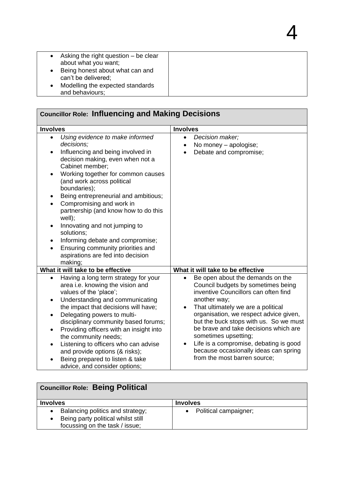| Asking the right question $-$ be clear<br>about what you want; |  |
|----------------------------------------------------------------|--|
| Being honest about what can and<br>can't be delivered;         |  |
| Modelling the expected standards<br>and behaviours;            |  |
|                                                                |  |

4

| <b>Councillor Role: Influencing and Making Decisions</b>                                                                                                                                                                                                                                                                                                                                                                                                                                                                                                                |                                                                                                                                                                                                                                                                                                                                                                                                                                              |
|-------------------------------------------------------------------------------------------------------------------------------------------------------------------------------------------------------------------------------------------------------------------------------------------------------------------------------------------------------------------------------------------------------------------------------------------------------------------------------------------------------------------------------------------------------------------------|----------------------------------------------------------------------------------------------------------------------------------------------------------------------------------------------------------------------------------------------------------------------------------------------------------------------------------------------------------------------------------------------------------------------------------------------|
| <b>Involves</b>                                                                                                                                                                                                                                                                                                                                                                                                                                                                                                                                                         | <b>Involves</b>                                                                                                                                                                                                                                                                                                                                                                                                                              |
| Using evidence to make informed<br>$\bullet$<br>decisions;<br>Influencing and being involved in<br>$\bullet$<br>decision making, even when not a<br>Cabinet member;<br>Working together for common causes<br>(and work across political<br>boundaries);<br>Being entrepreneurial and ambitious;<br>٠<br>Compromising and work in<br>partnership (and know how to do this<br>well);<br>Innovating and not jumping to<br>$\bullet$<br>solutions;<br>Informing debate and compromise;<br>Ensuring community priorities and<br>aspirations are fed into decision<br>making; | Decision maker;<br>$\bullet$<br>No money - apologise;<br>$\bullet$<br>Debate and compromise;<br>$\bullet$                                                                                                                                                                                                                                                                                                                                    |
| What it will take to be effective                                                                                                                                                                                                                                                                                                                                                                                                                                                                                                                                       | What it will take to be effective                                                                                                                                                                                                                                                                                                                                                                                                            |
| Having a long term strategy for your<br>$\bullet$<br>area i.e. knowing the vision and<br>values of the 'place';<br>Understanding and communicating<br>$\bullet$<br>the impact that decisions will have;<br>Delegating powers to multi-<br>$\bullet$<br>disciplinary community based forums;<br>Providing officers with an insight into<br>$\bullet$<br>the community needs;<br>Listening to officers who can advise<br>$\bullet$<br>and provide options (& risks);<br>Being prepared to listen & take<br>advice, and consider options;                                  | Be open about the demands on the<br>Council budgets by sometimes being<br>inventive Councillors can often find<br>another way;<br>That ultimately we are a political<br>organisation, we respect advice given,<br>but the buck stops with us. So we must<br>be brave and take decisions which are<br>sometimes upsetting;<br>Life is a compromise, debating is good<br>because occasionally ideas can spring<br>from the most barren source; |

| <b>Councillor Role: Being Political</b> |                         |
|-----------------------------------------|-------------------------|
| <b>Involves</b>                         | <b>Involves</b>         |
| Balancing politics and strategy;        | • Political campaigner; |
| Being party political whilst still      |                         |
| focussing on the task / issue;          |                         |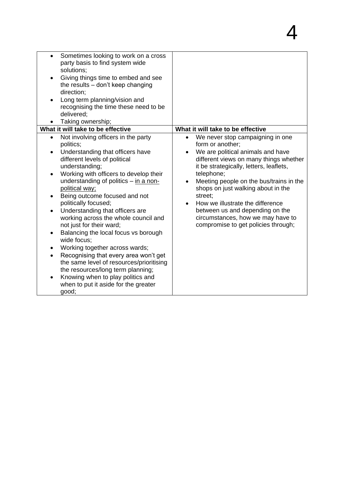| Sometimes looking to work on a cross<br>$\bullet$  |                                               |
|----------------------------------------------------|-----------------------------------------------|
| party basis to find system wide                    |                                               |
| solutions;                                         |                                               |
| Giving things time to embed and see                |                                               |
| the results - don't keep changing                  |                                               |
| direction;                                         |                                               |
| Long term planning/vision and                      |                                               |
| recognising the time these need to be              |                                               |
| delivered;                                         |                                               |
| Taking ownership;                                  |                                               |
| What it will take to be effective                  | What it will take to be effective             |
| Not involving officers in the party<br>$\bullet$   | We never stop campaigning in one<br>$\bullet$ |
| politics;                                          | form or another;                              |
| Understanding that officers have<br>$\bullet$      | We are political animals and have             |
| different levels of political                      | different views on many things whether        |
| understanding;                                     | it be strategically, letters, leaflets,       |
| Working with officers to develop their             | telephone;                                    |
| understanding of politics – in a non-              | Meeting people on the bus/trains in the       |
| political way;                                     | shops on just walking about in the            |
| Being outcome focused and not                      | street;                                       |
| politically focused;                               | How we illustrate the difference<br>$\bullet$ |
| Understanding that officers are                    | between us and depending on the               |
| working across the whole council and               | circumstances, how we may have to             |
| not just for their ward;                           | compromise to get policies through;           |
| Balancing the local focus vs borough               |                                               |
| wide focus;                                        |                                               |
| Working together across wards;<br>$\bullet$        |                                               |
| Recognising that every area won't get<br>$\bullet$ |                                               |
| the same level of resources/prioritising           |                                               |
| the resources/long term planning;                  |                                               |
| Knowing when to play politics and<br>$\bullet$     |                                               |
| when to put it aside for the greater               |                                               |
|                                                    |                                               |
| good;                                              |                                               |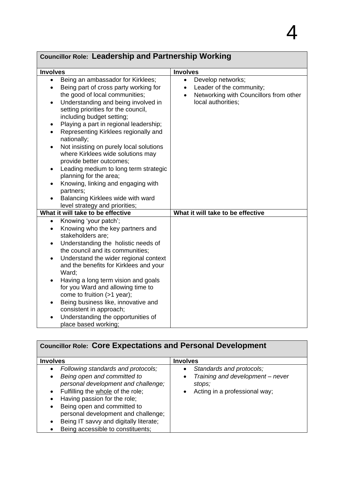#### **Involves Involves** • Being an ambassador for Kirklees; Being part of cross party working for the good of local communities; • Understanding and being involved in setting priorities for the council, including budget setting; • Playing a part in regional leadership: • Representing Kirklees regionally and nationally; • Not insisting on purely local solutions where Kirklees wide solutions may provide better outcomes; • Leading medium to long term strategic planning for the area; Knowing, linking and engaging with partners; • Balancing Kirklees wide with ward level strategy and priorities; • Develop networks; • Leader of the community; • Networking with Councillors from other local authorities; **What it will take to be effective What it will take to be effective** • Knowing 'your patch'; Knowing who the key partners and stakeholders are; Understanding the holistic needs of the council and its communities; • Understand the wider regional context and the benefits for Kirklees and your Ward; Having a long term vision and goals for you Ward and allowing time to come to fruition (>1 year); Being business like, innovative and consistent in approach;

 Understanding the opportunities of place based working;

| <b>Councillor Role: Core Expectations and Personal Development</b>                                                                                                                                                                                                                                                                                   |                                                                                                                                   |
|------------------------------------------------------------------------------------------------------------------------------------------------------------------------------------------------------------------------------------------------------------------------------------------------------------------------------------------------------|-----------------------------------------------------------------------------------------------------------------------------------|
| <b>Involves</b>                                                                                                                                                                                                                                                                                                                                      | <b>Involves</b>                                                                                                                   |
| Following standards and protocols;<br>Being open and committed to<br>٠<br>personal development and challenge;<br>Fulfilling the whole of the role;<br>Having passion for the role;<br>Being open and committed to<br>$\bullet$<br>personal development and challenge;<br>Being IT savvy and digitally literate;<br>Being accessible to constituents; | Standards and protocols;<br>$\bullet$<br>Training and development - never<br>$\bullet$<br>stops;<br>Acting in a professional way; |

## **Councillor Role: Leadership and Partnership Working**